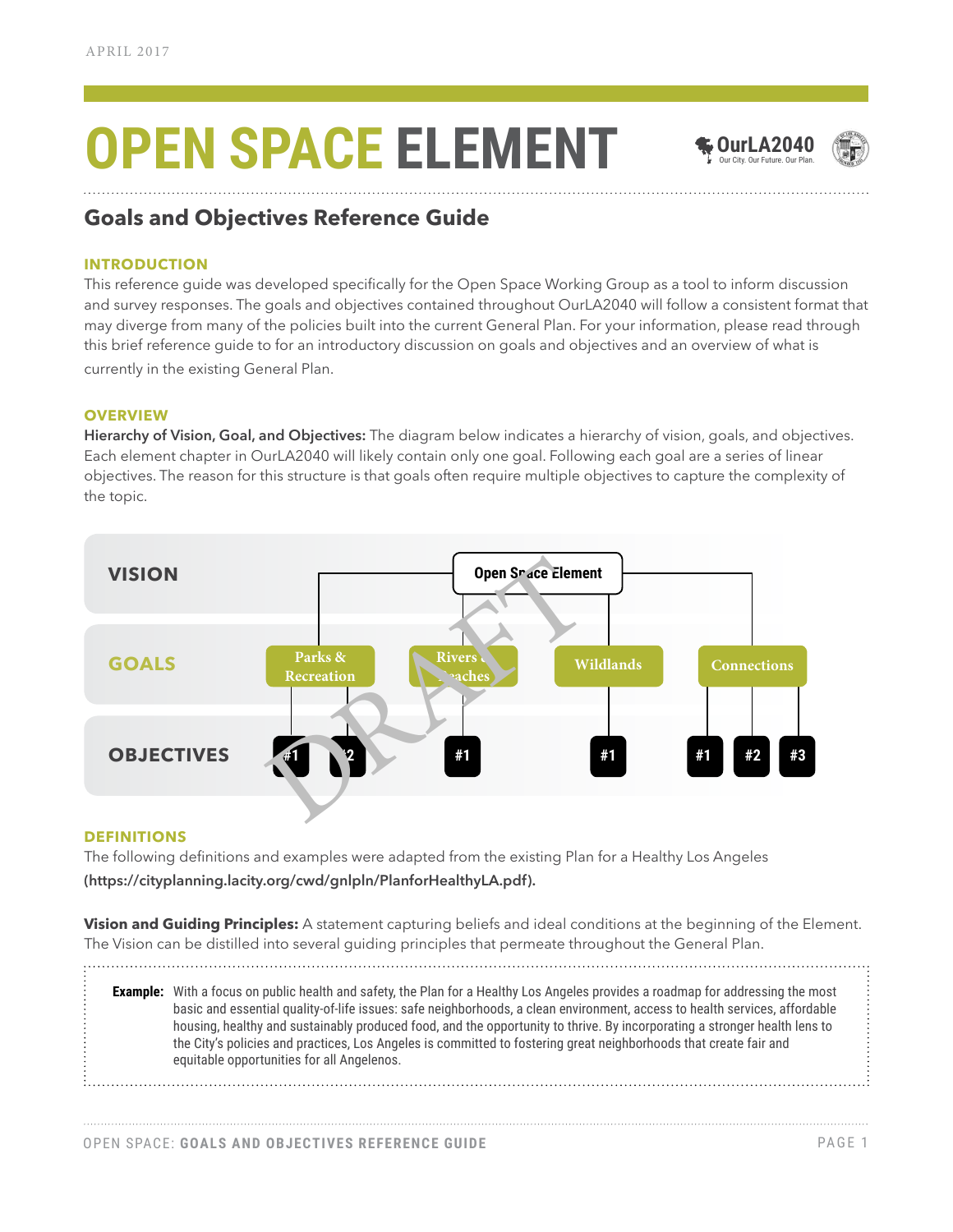# **OPEN SPACE ELEMENT**



**OurLA2040**



### **Goals and Objectives Reference Guide**

#### **INTRODUCTION**

This reference guide was developed specifically for the Open Space Working Group as a tool to inform discussion and survey responses. The goals and objectives contained throughout OurLA2040 will follow a consistent format that may diverge from many of the policies built into the current General Plan. For your information, please read through this brief reference guide to for an introductory discussion on goals and objectives and an overview of what is currently in the existing General Plan.

#### **OVERVIEW**

**Hierarchy of Vision, Goal, and Objectives:** The diagram below indicates a hierarchy of vision, goals, and objectives. Each element chapter in OurLA2040 will likely contain only one goal. Following each goal are a series of linear objectives. The reason for this structure is that goals often require multiple objectives to capture the complexity of the topic.



#### **DEFINITIONS**

The following definitions and examples were adapted from the existing Plan for a Healthy Los Angeles **(https://cityplanning.lacity.org/cwd/gnlpln/PlanforHealthyLA.pdf).**

**Vision and Guiding Principles:** A statement capturing beliefs and ideal conditions at the beginning of the Element. The Vision can be distilled into several guiding principles that permeate throughout the General Plan. 

**Example:** With a focus on public health and safety, the Plan for a Healthy Los Angeles provides a roadmap for addressing the most basic and essential quality-of-life issues: safe neighborhoods, a clean environment, access to health services, affordable housing, healthy and sustainably produced food, and the opportunity to thrive. By incorporating a stronger health lens to the City's policies and practices, Los Angeles is committed to fostering great neighborhoods that create fair and equitable opportunities for all Angelenos.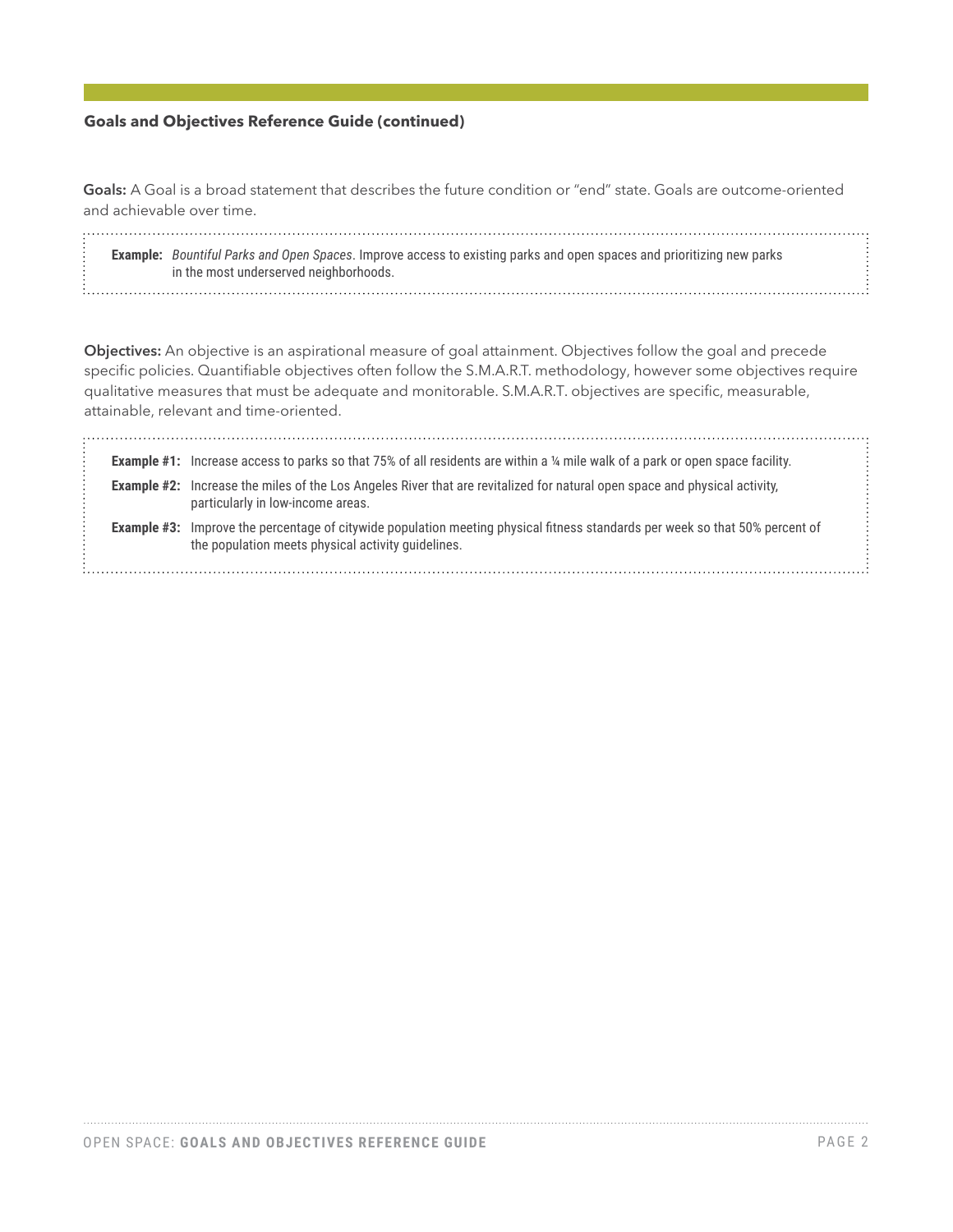#### **Goals and Objectives Reference Guide (continued)**

**Goals:** A Goal is a broad statement that describes the future condition or "end" state. Goals are outcome-oriented and achievable over time.

**Example:** *Bountiful Parks and Open Spaces*. Improve access to existing parks and open spaces and prioritizing new parks in the most underserved neighborhoods.

**Objectives:** An objective is an aspirational measure of goal attainment. Objectives follow the goal and precede specific policies. Quantifiable objectives often follow the S.M.A.R.T. methodology, however some objectives require qualitative measures that must be adequate and monitorable. S.M.A.R.T. objectives are specific, measurable, attainable, relevant and time-oriented.

|  | <b>Example #1:</b> Increase access to parks so that 75% of all residents are within a 14 mile walk of a park or open space facility.                                               |  |
|--|------------------------------------------------------------------------------------------------------------------------------------------------------------------------------------|--|
|  |                                                                                                                                                                                    |  |
|  | <b>Example #2:</b> Increase the miles of the Los Angeles River that are revitalized for natural open space and physical activity,<br>particularly in low-income areas.             |  |
|  | Example #3: Improve the percentage of citywide population meeting physical fitness standards per week so that 50% percent of<br>the population meets physical activity quidelines. |  |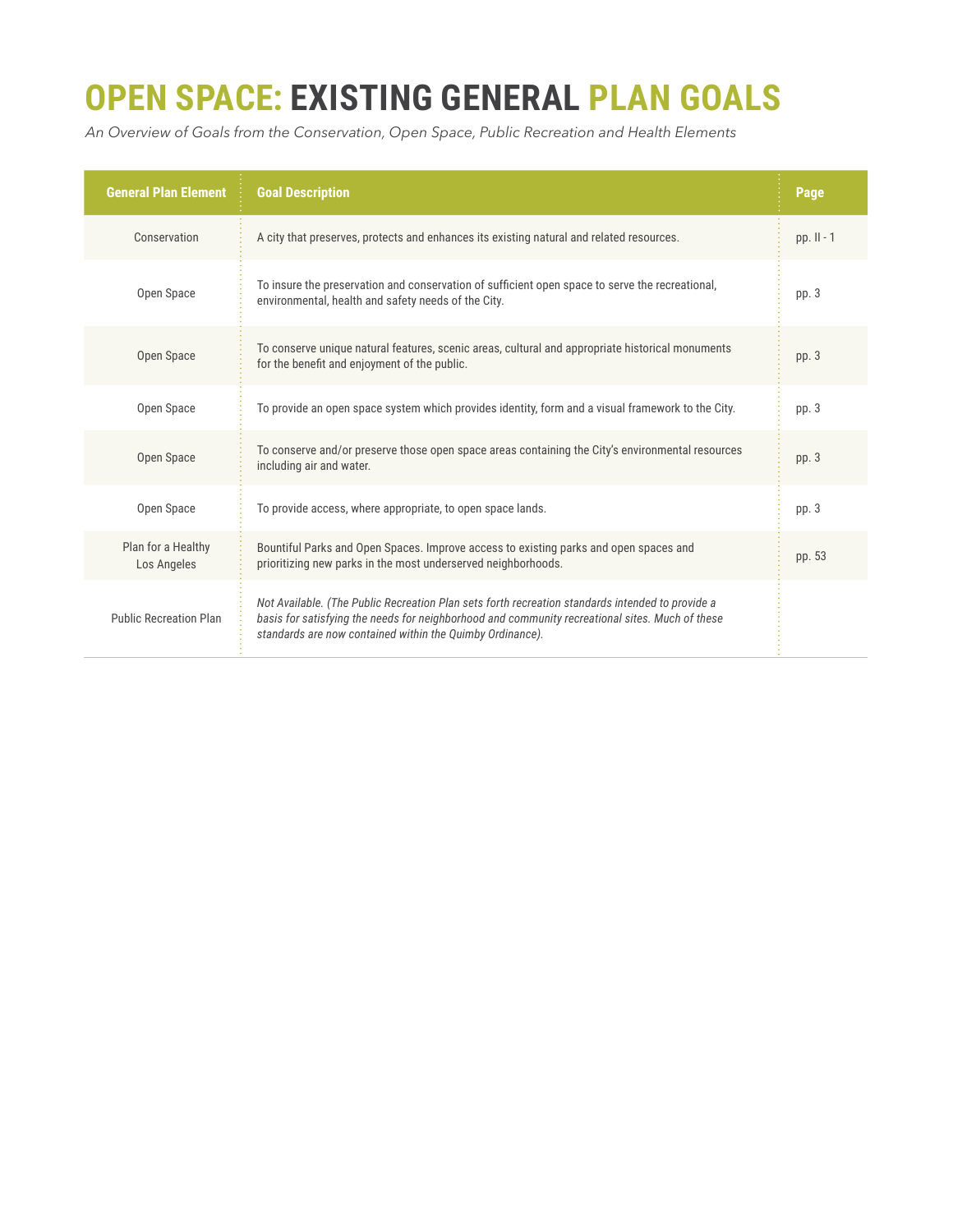## **OPEN SPACE: EXISTING GENERAL PLAN GOALS**

*An Overview of Goals from the Conservation, Open Space, Public Recreation and Health Elements*

| <b>General Plan Element</b>       | <b>Goal Description</b>                                                                                                                                                                                                                                          | Page         |
|-----------------------------------|------------------------------------------------------------------------------------------------------------------------------------------------------------------------------------------------------------------------------------------------------------------|--------------|
| Conservation                      | A city that preserves, protects and enhances its existing natural and related resources.                                                                                                                                                                         | pp. $II - 1$ |
| Open Space                        | To insure the preservation and conservation of sufficient open space to serve the recreational,<br>environmental, health and safety needs of the City.                                                                                                           | pp. 3        |
| Open Space                        | To conserve unique natural features, scenic areas, cultural and appropriate historical monuments<br>for the benefit and enjoyment of the public.                                                                                                                 | pp. 3        |
| Open Space                        | To provide an open space system which provides identity, form and a visual framework to the City.                                                                                                                                                                | pp. 3        |
| Open Space                        | To conserve and/or preserve those open space areas containing the City's environmental resources<br>including air and water.                                                                                                                                     | pp. 3        |
| Open Space                        | To provide access, where appropriate, to open space lands.                                                                                                                                                                                                       | pp. 3        |
| Plan for a Healthy<br>Los Angeles | Bountiful Parks and Open Spaces. Improve access to existing parks and open spaces and<br>prioritizing new parks in the most underserved neighborhoods.                                                                                                           | pp. 53       |
| <b>Public Recreation Plan</b>     | Not Available. (The Public Recreation Plan sets forth recreation standards intended to provide a<br>basis for satisfying the needs for neighborhood and community recreational sites. Much of these<br>standards are now contained within the Quimby Ordinance). |              |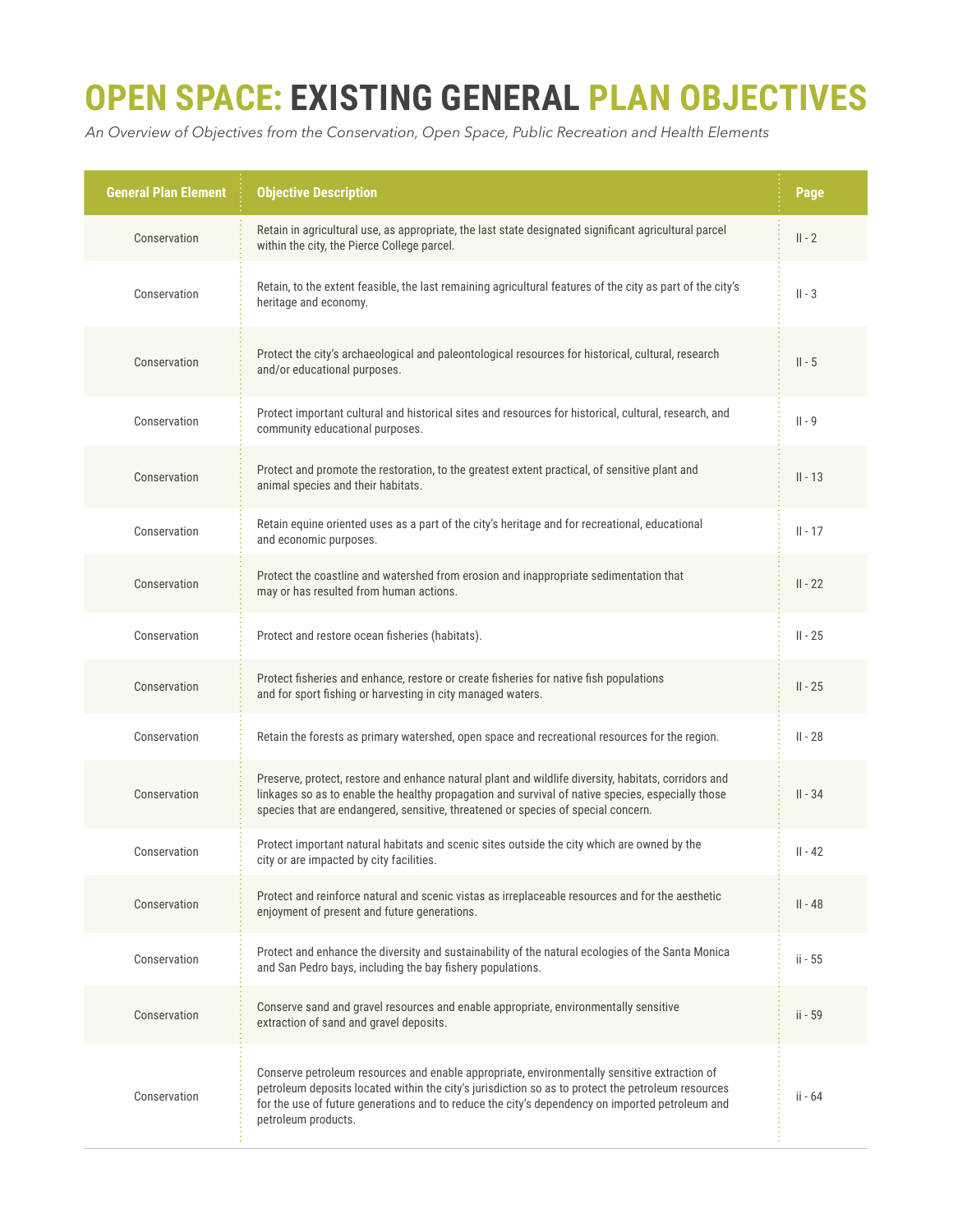### **OPEN SPACE: EXISTING GENERAL PLAN OBJECTIVES**

*An Overview of Objectives from the Conservation, Open Space, Public Recreation and Health Elements*

| <b>General Plan Element</b> | <b>Objective Description</b>                                                                                                                                                                                                                                                                                                 | Page      |
|-----------------------------|------------------------------------------------------------------------------------------------------------------------------------------------------------------------------------------------------------------------------------------------------------------------------------------------------------------------------|-----------|
| Conservation                | Retain in agricultural use, as appropriate, the last state designated significant agricultural parcel<br>within the city, the Pierce College parcel.                                                                                                                                                                         | $II - 2$  |
| Conservation                | Retain, to the extent feasible, the last remaining agricultural features of the city as part of the city's<br>heritage and economy.                                                                                                                                                                                          | $II - 3$  |
| Conservation                | Protect the city's archaeological and paleontological resources for historical, cultural, research<br>and/or educational purposes.                                                                                                                                                                                           | $II - 5$  |
| Conservation                | Protect important cultural and historical sites and resources for historical, cultural, research, and<br>community educational purposes.                                                                                                                                                                                     | $   - 9$  |
| Conservation                | Protect and promote the restoration, to the greatest extent practical, of sensitive plant and<br>animal species and their habitats.                                                                                                                                                                                          | $II - 13$ |
| Conservation                | Retain equine oriented uses as a part of the city's heritage and for recreational, educational<br>and economic purposes.                                                                                                                                                                                                     | $II - 17$ |
| Conservation                | Protect the coastline and watershed from erosion and inappropriate sedimentation that<br>may or has resulted from human actions.                                                                                                                                                                                             | $II - 22$ |
| Conservation                | Protect and restore ocean fisheries (habitats).                                                                                                                                                                                                                                                                              | $II - 25$ |
| Conservation                | Protect fisheries and enhance, restore or create fisheries for native fish populations<br>and for sport fishing or harvesting in city managed waters.                                                                                                                                                                        | $II - 25$ |
| Conservation                | Retain the forests as primary watershed, open space and recreational resources for the region.                                                                                                                                                                                                                               | $II - 28$ |
| Conservation                | Preserve, protect, restore and enhance natural plant and wildlife diversity, habitats, corridors and<br>linkages so as to enable the healthy propagation and survival of native species, especially those<br>species that are endangered, sensitive, threatened or species of special concern.                               | $II - 34$ |
| Conservation                | Protect important natural habitats and scenic sites outside the city which are owned by the<br>city or are impacted by city facilities.                                                                                                                                                                                      | $II - 42$ |
| Conservation                | Protect and reinforce natural and scenic vistas as irreplaceable resources and for the aesthetic<br>enjoyment of present and future generations.                                                                                                                                                                             | $II - 48$ |
| Conservation                | Protect and enhance the diversity and sustainability of the natural ecologies of the Santa Monica<br>and San Pedro bays, including the bay fishery populations.                                                                                                                                                              | ii - 55   |
| Conservation                | Conserve sand and gravel resources and enable appropriate, environmentally sensitive<br>extraction of sand and gravel deposits.                                                                                                                                                                                              | ii - 59   |
| Conservation                | Conserve petroleum resources and enable appropriate, environmentally sensitive extraction of<br>petroleum deposits located within the city's jurisdiction so as to protect the petroleum resources<br>for the use of future generations and to reduce the city's dependency on imported petroleum and<br>petroleum products. | ii - 64   |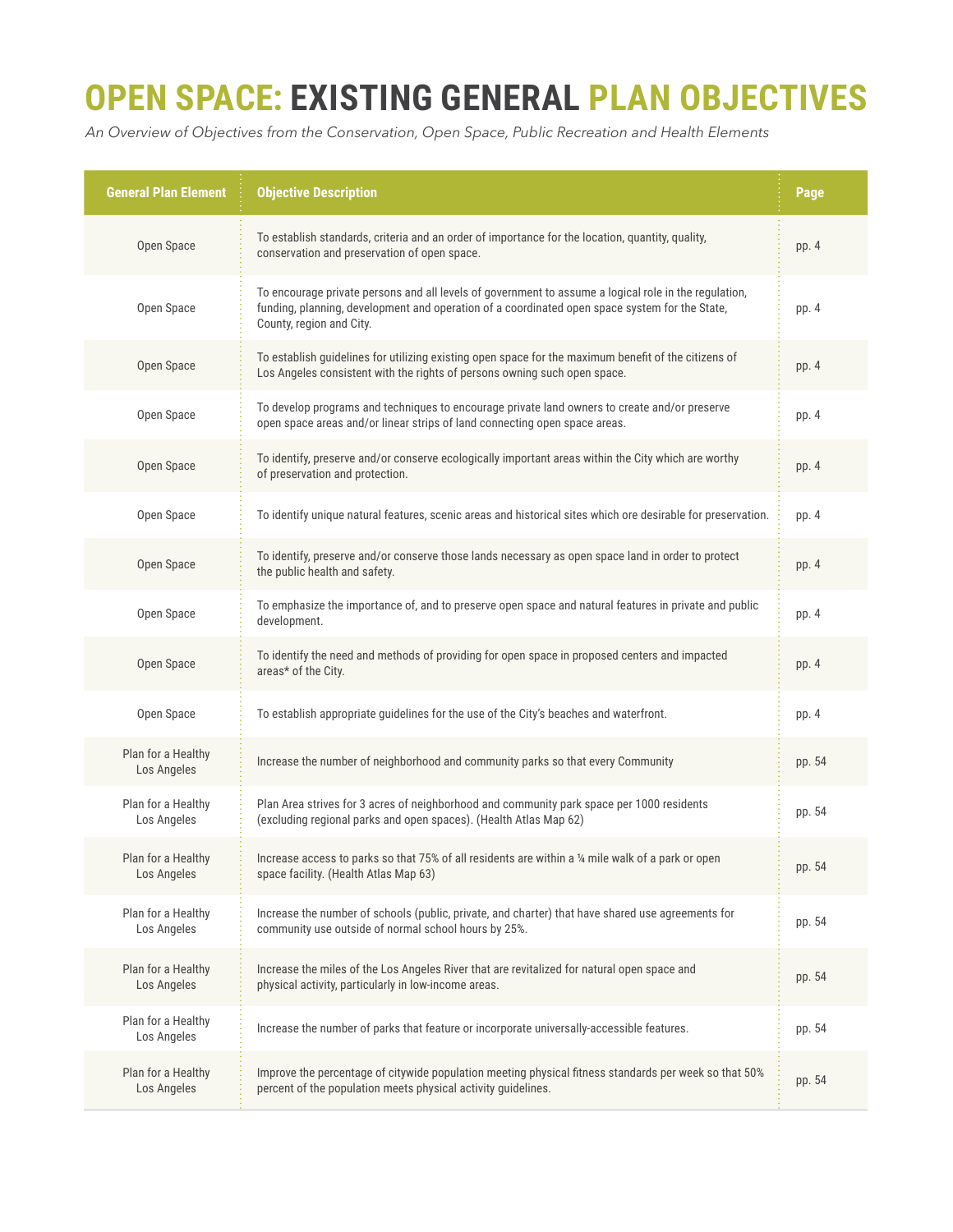### **OPEN SPACE: EXISTING GENERAL PLAN OBJECTIVES**

*An Overview of Objectives from the Conservation, Open Space, Public Recreation and Health Elements*

| <b>General Plan Element</b>       | <b>Objective Description</b>                                                                                                                                                                                                        | Page   |
|-----------------------------------|-------------------------------------------------------------------------------------------------------------------------------------------------------------------------------------------------------------------------------------|--------|
| Open Space                        | To establish standards, criteria and an order of importance for the location, quantity, quality,<br>conservation and preservation of open space.                                                                                    | pp. 4  |
| Open Space                        | To encourage private persons and all levels of government to assume a logical role in the regulation,<br>funding, planning, development and operation of a coordinated open space system for the State,<br>County, region and City. | pp. 4  |
| Open Space                        | To establish guidelines for utilizing existing open space for the maximum benefit of the citizens of<br>Los Angeles consistent with the rights of persons owning such open space.                                                   | pp. 4  |
| Open Space                        | To develop programs and techniques to encourage private land owners to create and/or preserve<br>open space areas and/or linear strips of land connecting open space areas.                                                         | pp. 4  |
| Open Space                        | To identify, preserve and/or conserve ecologically important areas within the City which are worthy<br>of preservation and protection.                                                                                              | pp. 4  |
| Open Space                        | To identify unique natural features, scenic areas and historical sites which ore desirable for preservation.                                                                                                                        | pp. 4  |
| Open Space                        | To identify, preserve and/or conserve those lands necessary as open space land in order to protect<br>the public health and safety.                                                                                                 | pp. 4  |
| Open Space                        | To emphasize the importance of, and to preserve open space and natural features in private and public<br>development.                                                                                                               | pp. 4  |
| Open Space                        | To identify the need and methods of providing for open space in proposed centers and impacted<br>areas* of the City.                                                                                                                | pp. 4  |
| Open Space                        | To establish appropriate guidelines for the use of the City's beaches and waterfront.                                                                                                                                               | pp. 4  |
| Plan for a Healthy<br>Los Angeles | Increase the number of neighborhood and community parks so that every Community                                                                                                                                                     | pp. 54 |
| Plan for a Healthy<br>Los Angeles | Plan Area strives for 3 acres of neighborhood and community park space per 1000 residents<br>(excluding regional parks and open spaces). (Health Atlas Map 62)                                                                      | pp. 54 |
| Plan for a Healthy<br>Los Angeles | Increase access to parks so that 75% of all residents are within a 1/4 mile walk of a park or open<br>space facility. (Health Atlas Map 63)                                                                                         | pp. 54 |
| Plan for a Healthy<br>Los Angeles | Increase the number of schools (public, private, and charter) that have shared use agreements for<br>community use outside of normal school hours by 25%.                                                                           | pp. 54 |
| Plan for a Healthy<br>Los Angeles | Increase the miles of the Los Angeles River that are revitalized for natural open space and<br>physical activity, particularly in low-income areas.                                                                                 | pp. 54 |
| Plan for a Healthy<br>Los Angeles | Increase the number of parks that feature or incorporate universally-accessible features.                                                                                                                                           | pp. 54 |
| Plan for a Healthy<br>Los Angeles | Improve the percentage of citywide population meeting physical fitness standards per week so that 50%<br>percent of the population meets physical activity guidelines.                                                              | pp. 54 |